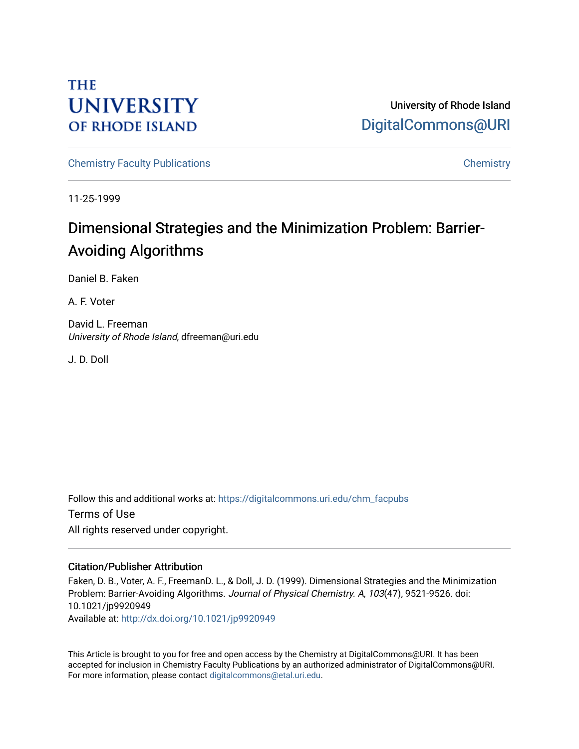## **THE UNIVERSITY OF RHODE ISLAND**

University of Rhode Island [DigitalCommons@URI](https://digitalcommons.uri.edu/) 

[Chemistry Faculty Publications](https://digitalcommons.uri.edu/chm_facpubs) **Chemistry** Chemistry

11-25-1999

# Dimensional Strategies and the Minimization Problem: Barrier-Avoiding Algorithms

Daniel B. Faken

A. F. Voter

David L. Freeman University of Rhode Island, dfreeman@uri.edu

J. D. Doll

Follow this and additional works at: [https://digitalcommons.uri.edu/chm\\_facpubs](https://digitalcommons.uri.edu/chm_facpubs?utm_source=digitalcommons.uri.edu%2Fchm_facpubs%2F55&utm_medium=PDF&utm_campaign=PDFCoverPages)  Terms of Use All rights reserved under copyright.

## Citation/Publisher Attribution

Faken, D. B., Voter, A. F., FreemanD. L., & Doll, J. D. (1999). Dimensional Strategies and the Minimization Problem: Barrier-Avoiding Algorithms. Journal of Physical Chemistry. A, 103(47), 9521-9526. doi: 10.1021/jp9920949 Available at:<http://dx.doi.org/10.1021/jp9920949>

This Article is brought to you for free and open access by the Chemistry at DigitalCommons@URI. It has been accepted for inclusion in Chemistry Faculty Publications by an authorized administrator of DigitalCommons@URI. For more information, please contact [digitalcommons@etal.uri.edu](mailto:digitalcommons@etal.uri.edu).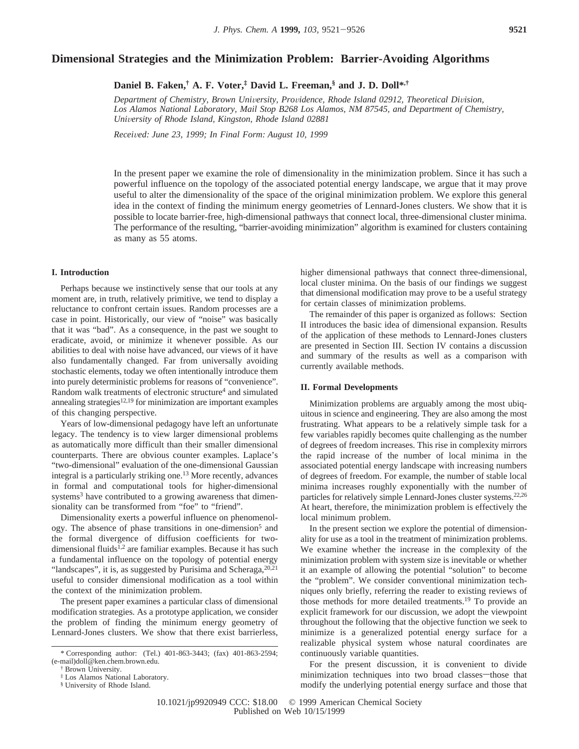## **Dimensional Strategies and the Minimization Problem: Barrier-Avoiding Algorithms**

**Daniel B. Faken,† A. F. Voter,‡ David L. Freeman,§ and J. D. Doll\*,†**

*Department of Chemistry, Brown Uni*V*ersity, Pro*V*idence, Rhode Island 02912, Theoretical Di*V*ision, Los Alamos National Laboratory, Mail Stop B268 Los Alamos, NM 87545, and Department of Chemistry, University of Rhode Island, Kingston, Rhode Island 02881* 

*Recei*V*ed: June 23, 1999; In Final Form: August 10, 1999*

In the present paper we examine the role of dimensionality in the minimization problem. Since it has such a powerful influence on the topology of the associated potential energy landscape, we argue that it may prove useful to alter the dimensionality of the space of the original minimization problem. We explore this general idea in the context of finding the minimum energy geometries of Lennard-Jones clusters. We show that it is possible to locate barrier-free, high-dimensional pathways that connect local, three-dimensional cluster minima. The performance of the resulting, "barrier-avoiding minimization" algorithm is examined for clusters containing as many as 55 atoms.

#### **I. Introduction**

Perhaps because we instinctively sense that our tools at any moment are, in truth, relatively primitive, we tend to display a reluctance to confront certain issues. Random processes are a case in point. Historically, our view of "noise" was basically that it was "bad". As a consequence, in the past we sought to eradicate, avoid, or minimize it whenever possible. As our abilities to deal with noise have advanced, our views of it have also fundamentally changed. Far from universally avoiding stochastic elements, today we often intentionally introduce them into purely deterministic problems for reasons of "convenience". Random walk treatments of electronic structure<sup>4</sup> and simulated annealing strategies $12,19$  for minimization are important examples of this changing perspective.

Years of low-dimensional pedagogy have left an unfortunate legacy. The tendency is to view larger dimensional problems as automatically more difficult than their smaller dimensional counterparts. There are obvious counter examples. Laplace's "two-dimensional" evaluation of the one-dimensional Gaussian integral is a particularly striking one.<sup>13</sup> More recently, advances in formal and computational tools for higher-dimensional systems<sup>3</sup> have contributed to a growing awareness that dimensionality can be transformed from "foe" to "friend".

Dimensionality exerts a powerful influence on phenomenology. The absence of phase transitions in one-dimension<sup>5</sup> and the formal divergence of diffusion coefficients for twodimensional fluids<sup>1,2</sup> are familiar examples. Because it has such a fundamental influence on the topology of potential energy "landscapes", it is, as suggested by Purisima and Scheraga, $20,21$ useful to consider dimensional modification as a tool within the context of the minimization problem.

The present paper examines a particular class of dimensional modification strategies. As a prototype application, we consider the problem of finding the minimum energy geometry of Lennard-Jones clusters. We show that there exist barrierless,

† Brown University.

higher dimensional pathways that connect three-dimensional, local cluster minima. On the basis of our findings we suggest that dimensional modification may prove to be a useful strategy for certain classes of minimization problems.

The remainder of this paper is organized as follows: Section II introduces the basic idea of dimensional expansion. Results of the application of these methods to Lennard-Jones clusters are presented in Section III. Section IV contains a discussion and summary of the results as well as a comparison with currently available methods.

#### **II. Formal Developments**

Minimization problems are arguably among the most ubiquitous in science and engineering. They are also among the most frustrating. What appears to be a relatively simple task for a few variables rapidly becomes quite challenging as the number of degrees of freedom increases. This rise in complexity mirrors the rapid increase of the number of local minima in the associated potential energy landscape with increasing numbers of degrees of freedom. For example, the number of stable local minima increases roughly exponentially with the number of particles for relatively simple Lennard-Jones cluster systems.22,26 At heart, therefore, the minimization problem is effectively the local minimum problem.

In the present section we explore the potential of dimensionality for use as a tool in the treatment of minimization problems. We examine whether the increase in the complexity of the minimization problem with system size is inevitable or whether it an example of allowing the potential "solution" to become the "problem". We consider conventional minimization techniques only briefly, referring the reader to existing reviews of those methods for more detailed treatments.19 To provide an explicit framework for our discussion, we adopt the viewpoint throughout the following that the objective function we seek to minimize is a generalized potential energy surface for a realizable physical system whose natural coordinates are continuously variable quantities.

For the present discussion, it is convenient to divide minimization techniques into two broad classes-those that modify the underlying potential energy surface and those that

<sup>\*</sup> Corresponding author: (Tel.) 401-863-3443; (fax) 401-863-2594; (e-mail)doll@ken.chem.brown.edu.

<sup>‡</sup> Los Alamos National Laboratory.

<sup>§</sup> University of Rhode Island.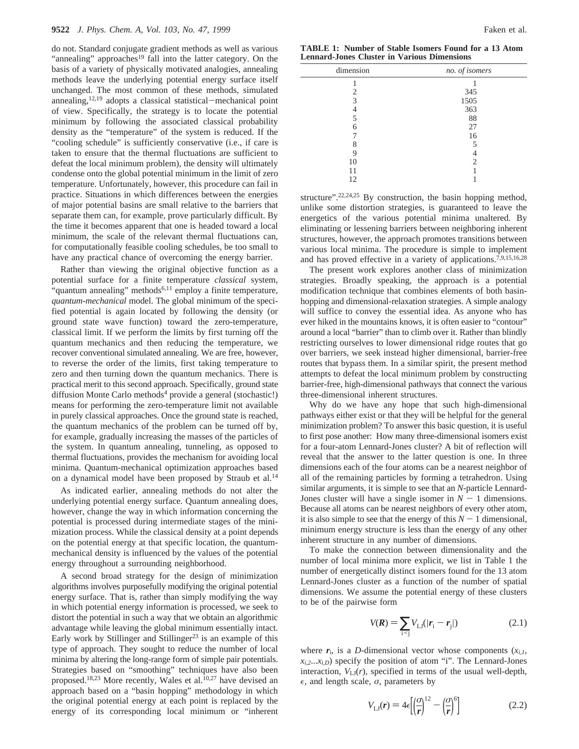do not. Standard conjugate gradient methods as well as various "annealing" approaches<sup>19</sup> fall into the latter category. On the basis of a variety of physically motivated analogies, annealing methods leave the underlying potential energy surface itself unchanged. The most common of these methods, simulated annealing, $12,19$  adopts a classical statistical-mechanical point of view. Specifically, the strategy is to locate the potential minimum by following the associated classical probability density as the "temperature" of the system is reduced. If the "cooling schedule" is sufficiently conservative (i.e., if care is taken to ensure that the thermal fluctuations are sufficient to defeat the local minimum problem), the density will ultimately condense onto the global potential minimum in the limit of zero temperature. Unfortunately, however, this procedure can fail in practice. Situations in which differences between the energies of major potential basins are small relative to the barriers that separate them can, for example, prove particularly difficult. By the time it becomes apparent that one is headed toward a local minimum, the scale of the relevant thermal fluctuations can, for computationally feasible cooling schedules, be too small to have any practical chance of overcoming the energy barrier.

Rather than viewing the original objective function as a potential surface for a finite temperature *classical* system, "quantum annealing" methods<sup>6,11</sup> employ a finite temperature, *quantum*-*mechanical* model. The global minimum of the specified potential is again located by following the density (or ground state wave function) toward the zero-temperature, classical limit. If we perform the limits by first turning off the quantum mechanics and then reducing the temperature, we recover conventional simulated annealing. We are free, however, to reverse the order of the limits, first taking temperature to zero and then turning down the quantum mechanics. There is practical merit to this second approach. Specifically, ground state diffusion Monte Carlo methods<sup>4</sup> provide a general (stochastic!) means for performing the zero-temperature limit not available in purely classical approaches. Once the ground state is reached, the quantum mechanics of the problem can be turned off by, for example, gradually increasing the masses of the particles of the system. In quantum annealing, tunneling, as opposed to thermal fluctuations, provides the mechanism for avoiding local minima. Quantum-mechanical optimization approaches based on a dynamical model have been proposed by Straub et al.14

As indicated earlier, annealing methods do not alter the underlying potential energy surface. Quantum annealing does, however, change the way in which information concerning the potential is processed during intermediate stages of the minimization process. While the classical density at a point depends on the potential energy at that specific location, the quantummechanical density is influenced by the values of the potential energy throughout a surrounding neighborhood.

A second broad strategy for the design of minimization algorithms involves purposefully modifying the original potential energy surface. That is, rather than simply modifying the way in which potential energy information is processed, we seek to distort the potential in such a way that we obtain an algorithmic advantage while leaving the global minimum essentially intact. Early work by Stillinger and Stillinger<sup>23</sup> is an example of this type of approach. They sought to reduce the number of local minima by altering the long-range form of simple pair potentials. Strategies based on "smoothing" techniques have also been proposed.<sup>18,23</sup> More recently, Wales et al.<sup>10,27</sup> have devised an approach based on a "basin hopping" methodology in which the original potential energy at each point is replaced by the energy of its corresponding local minimum or "inherent

**TABLE 1: Number of Stable Isomers Found for a 13 Atom Lennard-Jones Cluster in Various Dimensions**

| dimension | no. of isomers |
|-----------|----------------|
|           |                |
|           | 345            |
|           | 1505           |
|           | 363            |
|           | 88             |
| 6         | 27             |
|           | 16             |
| 8         |                |
|           |                |
| 10        | 2              |
| 11        |                |
| 12        |                |

structure".<sup>22,24,25</sup> By construction, the basin hopping method, unlike some distortion strategies, is guaranteed to leave the energetics of the various potential minima unaltered. By eliminating or lessening barriers between neighboring inherent structures, however, the approach promotes transitions between various local minima. The procedure is simple to implement and has proved effective in a variety of applications.<sup>7,9,15,16,28</sup>

The present work explores another class of minimization strategies. Broadly speaking, the approach is a potential modification technique that combines elements of both basinhopping and dimensional-relaxation strategies. A simple analogy will suffice to convey the essential idea. As anyone who has ever hiked in the mountains knows, it is often easier to "contour" around a local "barrier" than to climb over it. Rather than blindly restricting ourselves to lower dimensional ridge routes that go over barriers, we seek instead higher dimensional, barrier-free routes that bypass them. In a similar spirit, the present method attempts to defeat the local minimum problem by constructing barrier-free, high-dimensional pathways that connect the various three-dimensional inherent structures.

Why do we have any hope that such high-dimensional pathways either exist or that they will be helpful for the general minimization problem? To answer this basic question, it is useful to first pose another: How many three-dimensional isomers exist for a four-atom Lennard-Jones cluster? A bit of reflection will reveal that the answer to the latter question is one. In three dimensions each of the four atoms can be a nearest neighbor of all of the remaining particles by forming a tetrahedron. Using similar arguments, it is simple to see that an *N*-particle Lennard-Jones cluster will have a single isomer in  $N - 1$  dimensions. Because all atoms can be nearest neighbors of every other atom, it is also simple to see that the energy of this  $N-1$  dimensional, minimum energy structure is less than the energy of any other inherent structure in any number of dimensions.

To make the connection between dimensionality and the number of local minima more explicit, we list in Table 1 the number of energetically distinct isomers found for the 13 atom Lennard-Jones cluster as a function of the number of spatial dimensions. We assume the potential energy of these clusters to be of the pairwise form

$$
V(\mathbf{R}) = \sum_{i \le j} V_{\text{LJ}}(|\mathbf{r}_i - \mathbf{r}_j|) \tag{2.1}
$$

where  $r_i$ , is a *D*-dimensional vector whose components  $(x_{i,l},$  $x_{i,2}...x_{i,D}$ ) specify the position of atom "i". The Lennard-Jones interaction,  $V_{LJ}(r)$ , specified in terms of the usual well-depth,  $\epsilon$ , and length scale,  $\sigma$ , parameters by

$$
V_{\text{LJ}}(\mathbf{r}) = 4\epsilon \left[ \left( \frac{\sigma}{\mathbf{r}} \right)^{12} - \left( \frac{\sigma}{\mathbf{r}} \right)^6 \right] \tag{2.2}
$$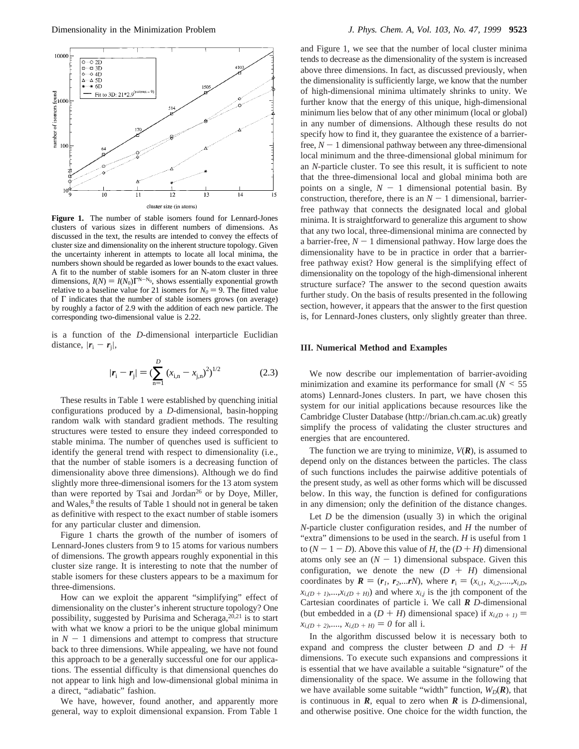

**Figure 1.** The number of stable isomers found for Lennard-Jones clusters of various sizes in different numbers of dimensions. As discussed in the text, the results are intended to convey the effects of cluster size and dimensionality on the inherent structure topology. Given the uncertainty inherent in attempts to locate all local minima, the numbers shown should be regarded as lower bounds to the exact values. A fit to the number of stable isomers for an N-atom cluster in three dimensions,  $I(N) = I(N_0)\Gamma^{N-N_0}$ , shows essentially exponential growth relative to a baseline value for 21 isomers for  $N_0 = 9$ . The fitted value of  $\Gamma$  indicates that the number of stable isomers grows (on average) by roughly a factor of 2.9 with the addition of each new particle. The corresponding two-dimensional value is 2.22.

is a function of the *D*-dimensional interparticle Euclidian distance,  $|r_i - r_j|$ ,

$$
|\mathbf{r}_{\mathbf{i}} - \mathbf{r}_{\mathbf{j}}| = \left(\sum_{\mathbf{n}=1}^{D} (x_{\mathbf{i},\mathbf{n}} - x_{\mathbf{j},\mathbf{n}})^2\right)^{1/2}
$$
 (2.3)

These results in Table 1 were established by quenching initial configurations produced by a *D*-dimensional, basin-hopping random walk with standard gradient methods. The resulting structures were tested to ensure they indeed corresponded to stable minima. The number of quenches used is sufficient to identify the general trend with respect to dimensionality (i.e., that the number of stable isomers is a decreasing function of dimensionality above three dimensions). Although we do find slightly more three-dimensional isomers for the 13 atom system than were reported by Tsai and Jordan<sup>26</sup> or by Doye, Miller, and Wales,<sup>8</sup> the results of Table 1 should not in general be taken as definitive with respect to the exact number of stable isomers for any particular cluster and dimension.

Figure 1 charts the growth of the number of isomers of Lennard-Jones clusters from 9 to 15 atoms for various numbers of dimensions. The growth appears roughly exponential in this cluster size range. It is interesting to note that the number of stable isomers for these clusters appears to be a maximum for three-dimensions.

How can we exploit the apparent "simplifying" effect of dimensionality on the cluster's inherent structure topology? One possibility, suggested by Purisima and Scheraga, 20,21 is to start with what we know a priori to be the unique global minimum in  $N - 1$  dimensions and attempt to compress that structure back to three dimensions. While appealing, we have not found this approach to be a generally successful one for our applications. The essential difficulty is that dimensional quenches do not appear to link high and low-dimensional global minima in a direct, "adiabatic" fashion.

We have, however, found another, and apparently more general, way to exploit dimensional expansion. From Table 1

and Figure 1, we see that the number of local cluster minima tends to decrease as the dimensionality of the system is increased above three dimensions. In fact, as discussed previously, when the dimensionality is sufficiently large, we know that the number of high-dimensional minima ultimately shrinks to unity. We further know that the energy of this unique, high-dimensional minimum lies below that of any other minimum (local or global) in any number of dimensions. Although these results do not specify how to find it, they guarantee the existence of a barrierfree,  $N-1$  dimensional pathway between any three-dimensional local minimum and the three-dimensional global minimum for an *N*-particle cluster. To see this result, it is sufficient to note that the three-dimensional local and global minima both are points on a single,  $N - 1$  dimensional potential basin. By construction, therefore, there is an  $N-1$  dimensional, barrierfree pathway that connects the designated local and global minima. It is straightforward to generalize this argument to show that any two local, three-dimensional minima are connected by a barrier-free,  $N - 1$  dimensional pathway. How large does the dimensionality have to be in practice in order that a barrierfree pathway exist? How general is the simplifying effect of dimensionality on the topology of the high-dimensional inherent structure surface? The answer to the second question awaits further study. On the basis of results presented in the following section, however, it appears that the answer to the first question is, for Lennard-Jones clusters, only slightly greater than three.

#### **III. Numerical Method and Examples**

We now describe our implementation of barrier-avoiding minimization and examine its performance for small  $(N \leq 55)$ atoms) Lennard-Jones clusters. In part, we have chosen this system for our initial applications because resources like the Cambridge Cluster Database (http://brian.ch.cam.ac.uk) greatly simplify the process of validating the cluster structures and energies that are encountered.

The function we are trying to minimize,  $V(R)$ , is assumed to depend only on the distances between the particles. The class of such functions includes the pairwise additive potentials of the present study, as well as other forms which will be discussed below. In this way, the function is defined for configurations in any dimension; only the definition of the distance changes.

Let *D* be the dimension (usually 3) in which the original *N*-particle cluster configuration resides, and *H* the number of "extra" dimensions to be used in the search. *H* is useful from 1 to  $(N - 1 - D)$ . Above this value of *H*, the  $(D + H)$  dimensional atoms only see an  $(N - 1)$  dimensional subspace. Given this configuration, we denote the new  $(D + H)$  dimensional coordinates by  $\mathbf{R} = (\mathbf{r}_1, \mathbf{r}_2,... \mathbf{r}_N)$ , where  $\mathbf{r}_i = (x_{i,1}, x_{i,2},...,x_{i,D}$ ,  $x_{i,(D+1)},...,x_{i,(D+H)}$  and where  $x_{i,j}$  is the jth component of the Cartesian coordinates of particle i. We call *R D*-dimensional (but embedded in a  $(D + H)$  dimensional space) if  $x_{i,(D+1)} =$  $x_{i,(D+2)},..., x_{i,(D+H)} = 0$  for all i.

In the algorithm discussed below it is necessary both to expand and compress the cluster between  $D$  and  $D + H$ dimensions. To execute such expansions and compressions it is essential that we have available a suitable "signature" of the dimensionality of the space. We assume in the following that we have available some suitable "width" function,  $W_D(\mathbf{R})$ , that is continuous in *R*, equal to zero when *R* is *D*-dimensional, and otherwise positive. One choice for the width function, the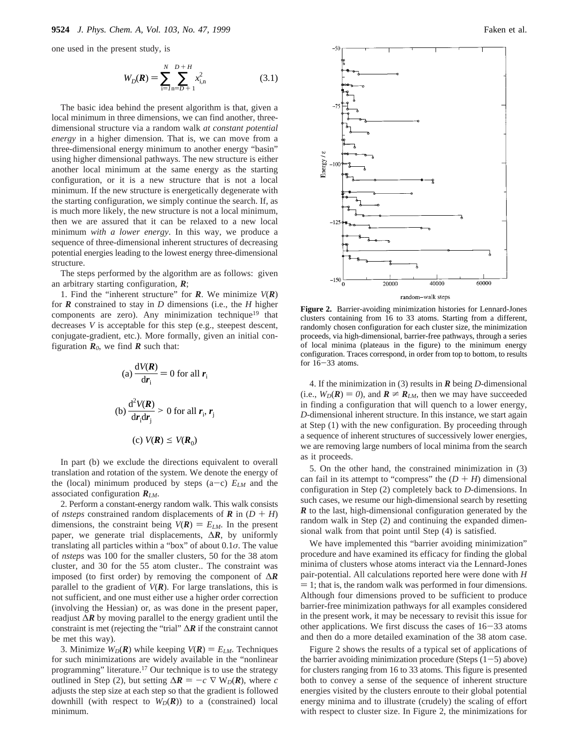one used in the present study, is

$$
W_D(\mathbf{R}) = \sum_{i=I}^{N} \sum_{n=D+1}^{D+H} x_{i,n}^2
$$
 (3.1)

The basic idea behind the present algorithm is that, given a local minimum in three dimensions, we can find another, threedimensional structure via a random walk *at constant potential energy* in a higher dimension. That is, we can move from a three-dimensional energy minimum to another energy "basin" using higher dimensional pathways. The new structure is either another local minimum at the same energy as the starting configuration, or it is a new structure that is not a local minimum. If the new structure is energetically degenerate with the starting configuration, we simply continue the search. If, as is much more likely, the new structure is not a local minimum, then we are assured that it can be relaxed to a new local minimum *with a lower energy*. In this way, we produce a sequence of three-dimensional inherent structures of decreasing potential energies leading to the lowest energy three-dimensional structure.

The steps performed by the algorithm are as follows: given an arbitrary starting configuration, *R*;

1. Find the "inherent structure" for  $\mathbf{R}$ . We minimize  $V(\mathbf{R})$ for *R* constrained to stay in *D* dimensions (i.e., the *H* higher components are zero). Any minimization technique<sup>19</sup> that decreases *V* is acceptable for this step (e.g., steepest descent, conjugate-gradient, etc.). More formally, given an initial configuration  $\mathbf{R}_0$ , we find  $\mathbf{R}$  such that:

(a) 
$$
\frac{dV(\mathbf{R})}{dr_i} = 0 \text{ for all } \mathbf{r}_i
$$
  
b) 
$$
\frac{d^2V(\mathbf{R})}{dr_i dr_j} > 0 \text{ for all } \mathbf{r}_i, \mathbf{r}_j
$$
  
(c) 
$$
V(\mathbf{R}) \leq V(\mathbf{R}_0)
$$

 $\overline{\phantom{a}}$ 

In part (b) we exclude the directions equivalent to overall translation and rotation of the system. We denote the energy of the (local) minimum produced by steps  $(a-c)$   $E_{LM}$  and the associated configuration *RLM*.

2. Perform a constant-energy random walk. This walk consists of *nsteps* constrained random displacements of  $\mathbf{R}$  in  $(D + H)$ dimensions, the constraint being  $V(R) = E_{LM}$ . In the present paper, we generate trial displacements, ∆*R*, by uniformly translating all particles within a "box" of about 0.1*σ*. The value of *nsteps* was 100 for the smaller clusters, 50 for the 38 atom cluster, and 30 for the 55 atom cluster.. The constraint was imposed (to first order) by removing the component of ∆*R* parallel to the gradient of  $V(R)$ . For large translations, this is not sufficient, and one must either use a higher order correction (involving the Hessian) or, as was done in the present paper, readjust ∆*R* by moving parallel to the energy gradient until the constraint is met (rejecting the "trial" ∆*R* if the constraint cannot be met this way).

3. Minimize  $W_D(\mathbf{R})$  while keeping  $V(\mathbf{R}) = E_{LM}$ . Techniques for such minimizations are widely available in the "nonlinear programming" literature.17 Our technique is to use the strategy outlined in Step (2), but setting  $\Delta \mathbf{R} = -c \nabla \mathbf{W}_D(\mathbf{R})$ , where *c* adjusts the step size at each step so that the gradient is followed downhill (with respect to  $W_D(R)$ ) to a (constrained) local minimum.



**Figure 2.** Barrier-avoiding minimization histories for Lennard-Jones clusters containing from 16 to 33 atoms. Starting from a different, randomly chosen configuration for each cluster size, the minimization proceeds, via high-dimensional, barrier-free pathways, through a series of local minima (plateaus in the figure) to the minimum energy configuration. Traces correspond, in order from top to bottom, to results for  $16-33$  atoms.

4. If the minimization in (3) results in *R* being *D*-dimensional (i.e.,  $W_D(\mathbf{R}) = 0$ ), and  $\mathbf{R} \neq \mathbf{R}_{LM}$ , then we may have succeeded in finding a configuration that will quench to a lower energy, *D*-dimensional inherent structure. In this instance, we start again at Step (1) with the new configuration. By proceeding through a sequence of inherent structures of successively lower energies, we are removing large numbers of local minima from the search as it proceeds.

5. On the other hand, the constrained minimization in (3) can fail in its attempt to "compress" the  $(D + H)$  dimensional configuration in Step (2) completely back to *D*-dimensions. In such cases, we resume our high-dimensional search by resetting *R* to the last, high-dimensional configuration generated by the random walk in Step (2) and continuing the expanded dimensional walk from that point until Step (4) is satisfied.

We have implemented this "barrier avoiding minimization" procedure and have examined its efficacy for finding the global minima of clusters whose atoms interact via the Lennard-Jones pair-potential. All calculations reported here were done with *H*  $=$  1; that is, the random walk was performed in four dimensions. Although four dimensions proved to be sufficient to produce barrier-free minimization pathways for all examples considered in the present work, it may be necessary to revisit this issue for other applications. We first discuss the cases of 16-33 atoms and then do a more detailed examination of the 38 atom case.

Figure 2 shows the results of a typical set of applications of the barrier avoiding minimization procedure (Steps  $(1-5)$  above) for clusters ranging from 16 to 33 atoms. This figure is presented both to convey a sense of the sequence of inherent structure energies visited by the clusters enroute to their global potential energy minima and to illustrate (crudely) the scaling of effort with respect to cluster size. In Figure 2, the minimizations for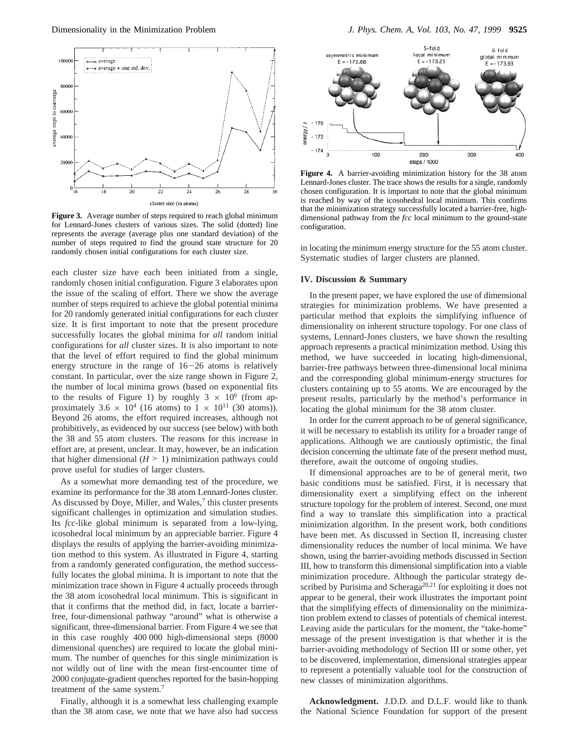

Figure 3. Average number of steps required to reach global minimum for Lennard-Jones clusters of various sizes. The solid (dotted) line represents the average (average plus one standard deviation) of the number of steps required to find the ground state structure for 20 randomly chosen initial configurations for each cluster size.

each cluster size have each been initiated from a single, randomly chosen initial configuration. Figure 3 elaborates upon the issue of the scaling of effort. There we show the average number of steps required to achieve the global potential minima for 20 randomly generated initial configurations for each cluster size. It is first important to note that the present procedure successfully locates the global minima for *all* random initial configurations for *all* cluster sizes. It is also important to note that the level of effort required to find the global minimum energy structure in the range of  $16-26$  atoms is relatively constant. In particular, over the size range shown in Figure 2, the number of local minima grows (based on exponential fits to the results of Figure 1) by roughly  $3 \times 10^6$  (from approximately 3.6  $\times$  10<sup>4</sup> (16 atoms) to 1  $\times$  10<sup>11</sup> (30 atoms)). Beyond 26 atoms, the effort required increases, although not prohibitively, as evidenced by our success (see below) with both the 38 and 55 atom clusters. The reasons for this increase in effort are, at present, unclear. It may, however, be an indication that higher dimensional  $(H > 1)$  minimization pathways could prove useful for studies of larger clusters.

As a somewhat more demanding test of the procedure, we examine its performance for the 38 atom Lennard-Jones cluster. As discussed by Doye, Miller, and Wales,<sup>7</sup> this cluster presents significant challenges in optimization and simulation studies. Its *fcc*-like global minimum is separated from a low-lying, icosohedral local minimum by an appreciable barrier. Figure 4 displays the results of applying the barrier-avoiding minimization method to this system. As illustrated in Figure 4, starting from a randomly generated configuration, the method successfully locates the global minima. It is important to note that the minimization trace shown in Figure 4 actually proceeds through the 38 atom icosohedral local minimum. This is significant in that it confirms that the method did, in fact, locate a barrierfree, four-dimensional pathway "around" what is otherwise a significant, three-dimensional barrier. From Figure 4 we see that in this case roughly 400 000 high-dimensional steps (8000 dimensional quenches) are required to locate the global minimum. The number of quenches for this single minimization is not wildly out of line with the mean first-encounter time of 2000 conjugate-gradient quenches reported for the basin-hopping treatment of the same system.7

Finally, although it is a somewhat less challenging example than the 38 atom case, we note that we have also had success



**Figure 4.** A barrier-avoiding minimization history for the 38 atom Lennard-Jones cluster. The trace shows the results for a single, randomly chosen configuration. It is important to note that the global minimum is reached by way of the icosohedral local minimum. This confirms that the minimization strategy successfully located a barrier-free, highdimensional pathway from the *fcc* local minimum to the ground-state configuration.

in locating the minimum energy structure for the 55 atom cluster. Systematic studies of larger clusters are planned.

#### **IV. Discussion & Summary**

In the present paper, we have explored the use of dimensional strategies for minimization problems. We have presented a particular method that exploits the simplifying influence of dimensionality on inherent structure topology. For one class of systems, Lennard-Jones clusters, we have shown the resulting approach represents a practical minimization method. Using this method, we have succeeded in locating high-dimensional, barrier-free pathways between three-dimensional local minima and the corresponding global minimum-energy structures for clusters containing up to 55 atoms. We are encouraged by the present results, particularly by the method's performance in locating the global minimum for the 38 atom cluster.

In order for the current approach to be of general significance, it will be necessary to establish its utility for a broader range of applications. Although we are cautiously optimistic, the final decision concerning the ultimate fate of the present method must, therefore, await the outcome of ongoing studies.

If dimensional approaches are to be of general merit, two basic conditions must be satisfied. First, it is necessary that dimensionality exert a simplifying effect on the inherent structure topology for the problem of interest. Second, one must find a way to translate this simplification into a practical minimization algorithm. In the present work, both conditions have been met. As discussed in Section II, increasing cluster dimensionality reduces the number of local minima. We have shown, using the barrier-avoiding methods discussed in Section III, how to transform this dimensional simplification into a viable minimization procedure. Although the particular strategy described by Purisima and Scheraga<sup>20,21</sup> for exploiting it does not appear to be general, their work illustrates the important point that the simplifying effects of dimensionality on the minimization problem extend to classes of potentials of chemical interest. Leaving aside the particulars for the moment, the "take-home" message of the present investigation is that whether it is the barrier-avoiding methodology of Section III or some other, yet to be discovered, implementation, dimensional strategies appear to represent a potentially valuable tool for the construction of new classes of minimization algorithms.

**Acknowledgment.** J.D.D. and D.L.F. would like to thank the National Science Foundation for support of the present